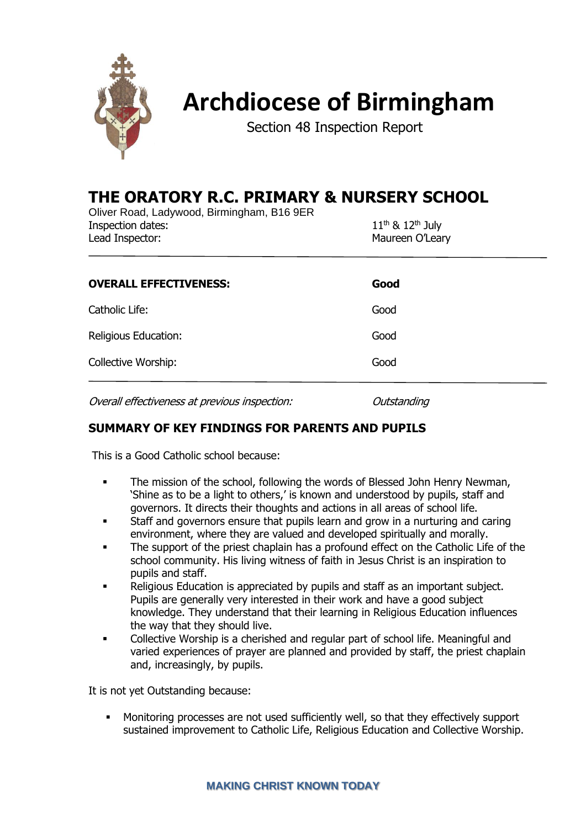

# **Archdiocese of Birmingham**

Section 48 Inspection Report

# **THE ORATORY R.C. PRIMARY & NURSERY SCHOOL**

Oliver Road, Ladywood, Birmingham, B16 9ER Inspection dates: 11<sup>th</sup> & 12<sup>th</sup> July Lead Inspector: Maureen O'Leary

| <b>OVERALL EFFECTIVENESS:</b> | Good |
|-------------------------------|------|
| Catholic Life:                | Good |
| Religious Education:          | Good |
| Collective Worship:           | Good |
|                               |      |

Overall effectiveness at previous inspection: Outstanding

# **SUMMARY OF KEY FINDINGS FOR PARENTS AND PUPILS**

This is a Good Catholic school because:

- **•** The mission of the school, following the words of Blessed John Henry Newman, 'Shine as to be a light to others,' is known and understood by pupils, staff and governors. It directs their thoughts and actions in all areas of school life.
- **•** Staff and governors ensure that pupils learn and grow in a nurturing and caring environment, where they are valued and developed spiritually and morally.
- The support of the priest chaplain has a profound effect on the Catholic Life of the school community. His living witness of faith in Jesus Christ is an inspiration to pupils and staff.
- Religious Education is appreciated by pupils and staff as an important subject. Pupils are generally very interested in their work and have a good subject knowledge. They understand that their learning in Religious Education influences the way that they should live.
- Collective Worship is a cherished and regular part of school life. Meaningful and varied experiences of prayer are planned and provided by staff, the priest chaplain and, increasingly, by pupils.

It is not yet Outstanding because:

▪ Monitoring processes are not used sufficiently well, so that they effectively support sustained improvement to Catholic Life, Religious Education and Collective Worship.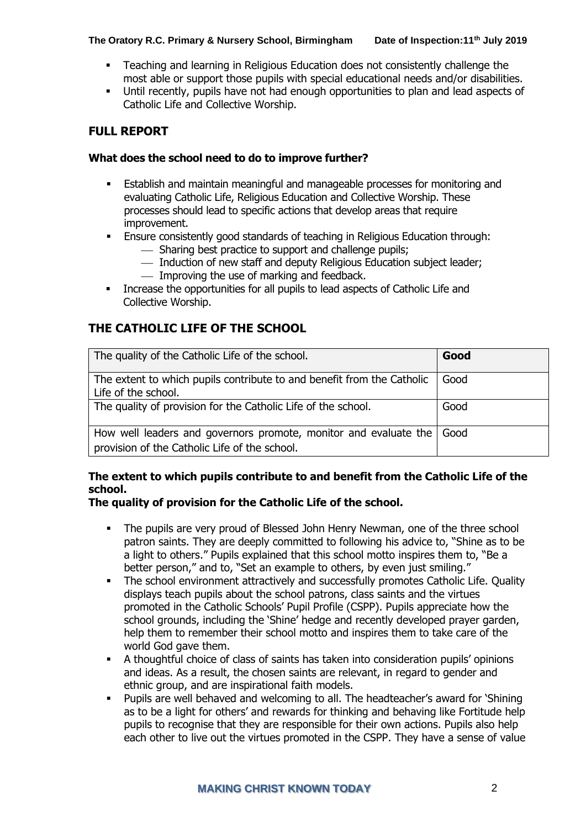- Teaching and learning in Religious Education does not consistently challenge the most able or support those pupils with special educational needs and/or disabilities.
- Until recently, pupils have not had enough opportunities to plan and lead aspects of Catholic Life and Collective Worship.

# **FULL REPORT**

#### **What does the school need to do to improve further?**

- Establish and maintain meaningful and manageable processes for monitoring and evaluating Catholic Life, Religious Education and Collective Worship. These processes should lead to specific actions that develop areas that require improvement.
- Ensure consistently good standards of teaching in Religious Education through:
	- ⎯ Sharing best practice to support and challenge pupils;
	- $-$  Induction of new staff and deputy Religious Education subject leader;
	- ⎯ Improving the use of marking and feedback.
- **EXEDENT Increase the opportunities for all pupils to lead aspects of Catholic Life and** Collective Worship.

# **THE CATHOLIC LIFE OF THE SCHOOL**

| The quality of the Catholic Life of the school.                                                                   | Good |
|-------------------------------------------------------------------------------------------------------------------|------|
| The extent to which pupils contribute to and benefit from the Catholic<br>Life of the school.                     | Good |
| The quality of provision for the Catholic Life of the school.                                                     | Good |
| How well leaders and governors promote, monitor and evaluate the<br>provision of the Catholic Life of the school. | Good |

# **The extent to which pupils contribute to and benefit from the Catholic Life of the school.**

# **The quality of provision for the Catholic Life of the school.**

- The pupils are very proud of Blessed John Henry Newman, one of the three school patron saints. They are deeply committed to following his advice to, "Shine as to be a light to others." Pupils explained that this school motto inspires them to, "Be a better person," and to, "Set an example to others, by even just smiling."
- **•** The school environment attractively and successfully promotes Catholic Life. Quality displays teach pupils about the school patrons, class saints and the virtues promoted in the Catholic Schools' Pupil Profile (CSPP). Pupils appreciate how the school grounds, including the 'Shine' hedge and recently developed prayer garden, help them to remember their school motto and inspires them to take care of the world God gave them.
- A thoughtful choice of class of saints has taken into consideration pupils' opinions and ideas. As a result, the chosen saints are relevant, in regard to gender and ethnic group, and are inspirational faith models.
- Pupils are well behaved and welcoming to all. The headteacher's award for 'Shining as to be a light for others' and rewards for thinking and behaving like Fortitude help pupils to recognise that they are responsible for their own actions. Pupils also help each other to live out the virtues promoted in the CSPP. They have a sense of value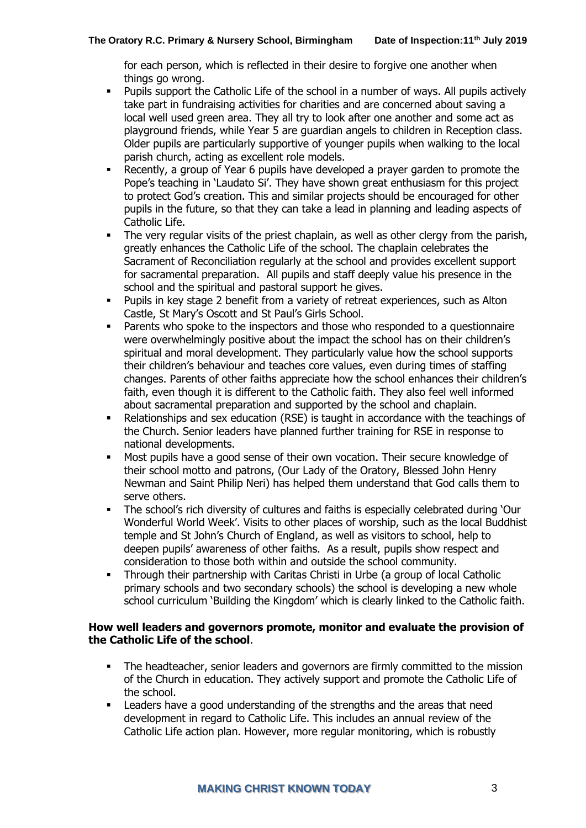for each person, which is reflected in their desire to forgive one another when things go wrong.

- Pupils support the Catholic Life of the school in a number of ways. All pupils actively take part in fundraising activities for charities and are concerned about saving a local well used green area. They all try to look after one another and some act as playground friends, while Year 5 are guardian angels to children in Reception class. Older pupils are particularly supportive of younger pupils when walking to the local parish church, acting as excellent role models.
- Recently, a group of Year 6 pupils have developed a prayer garden to promote the Pope's teaching in 'Laudato Si'. They have shown great enthusiasm for this project to protect God's creation. This and similar projects should be encouraged for other pupils in the future, so that they can take a lead in planning and leading aspects of Catholic Life.
- The very regular visits of the priest chaplain, as well as other clergy from the parish, greatly enhances the Catholic Life of the school. The chaplain celebrates the Sacrament of Reconciliation regularly at the school and provides excellent support for sacramental preparation. All pupils and staff deeply value his presence in the school and the spiritual and pastoral support he gives.
- Pupils in key stage 2 benefit from a variety of retreat experiences, such as Alton Castle, St Mary's Oscott and St Paul's Girls School.
- Parents who spoke to the inspectors and those who responded to a questionnaire were overwhelmingly positive about the impact the school has on their children's spiritual and moral development. They particularly value how the school supports their children's behaviour and teaches core values, even during times of staffing changes. Parents of other faiths appreciate how the school enhances their children's faith, even though it is different to the Catholic faith. They also feel well informed about sacramental preparation and supported by the school and chaplain.
- Relationships and sex education (RSE) is taught in accordance with the teachings of the Church. Senior leaders have planned further training for RSE in response to national developments.
- Most pupils have a good sense of their own vocation. Their secure knowledge of their school motto and patrons, (Our Lady of the Oratory, Blessed John Henry Newman and Saint Philip Neri) has helped them understand that God calls them to serve others.
- The school's rich diversity of cultures and faiths is especially celebrated during 'Our Wonderful World Week'. Visits to other places of worship, such as the local Buddhist temple and St John's Church of England, as well as visitors to school, help to deepen pupils' awareness of other faiths. As a result, pupils show respect and consideration to those both within and outside the school community.
- Through their partnership with Caritas Christi in Urbe (a group of local Catholic primary schools and two secondary schools) the school is developing a new whole school curriculum 'Building the Kingdom' which is clearly linked to the Catholic faith.

#### **How well leaders and governors promote, monitor and evaluate the provision of the Catholic Life of the school**.

- The headteacher, senior leaders and governors are firmly committed to the mission of the Church in education. They actively support and promote the Catholic Life of the school.
- Leaders have a good understanding of the strengths and the areas that need development in regard to Catholic Life. This includes an annual review of the Catholic Life action plan. However, more regular monitoring, which is robustly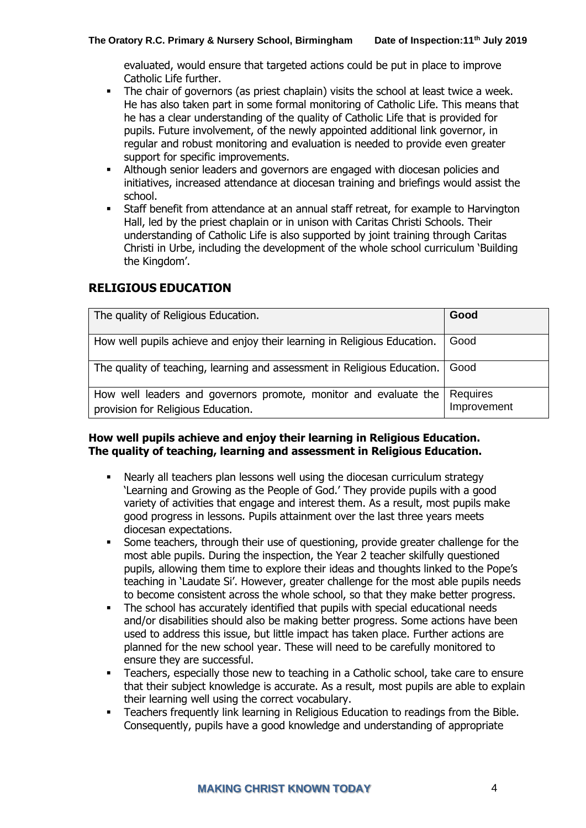evaluated, would ensure that targeted actions could be put in place to improve Catholic Life further.

- **•** The chair of governors (as priest chaplain) visits the school at least twice a week. He has also taken part in some formal monitoring of Catholic Life. This means that he has a clear understanding of the quality of Catholic Life that is provided for pupils. Future involvement, of the newly appointed additional link governor, in regular and robust monitoring and evaluation is needed to provide even greater support for specific improvements.
- **EXECT** Although senior leaders and governors are engaged with diocesan policies and initiatives, increased attendance at diocesan training and briefings would assist the school.
- Staff benefit from attendance at an annual staff retreat, for example to Harvington Hall, led by the priest chaplain or in unison with Caritas Christi Schools. Their understanding of Catholic Life is also supported by joint training through Caritas Christi in Urbe, including the development of the whole school curriculum 'Building the Kingdom'.

# **RELIGIOUS EDUCATION**

| The quality of Religious Education.                                                                    | Good                    |
|--------------------------------------------------------------------------------------------------------|-------------------------|
| How well pupils achieve and enjoy their learning in Religious Education.                               | Good                    |
| The quality of teaching, learning and assessment in Religious Education.                               | Good                    |
| How well leaders and governors promote, monitor and evaluate the<br>provision for Religious Education. | Requires<br>Improvement |

# **How well pupils achieve and enjoy their learning in Religious Education. The quality of teaching, learning and assessment in Religious Education.**

- Nearly all teachers plan lessons well using the diocesan curriculum strategy 'Learning and Growing as the People of God.' They provide pupils with a good variety of activities that engage and interest them. As a result, most pupils make good progress in lessons. Pupils attainment over the last three years meets diocesan expectations.
- Some teachers, through their use of questioning, provide greater challenge for the most able pupils. During the inspection, the Year 2 teacher skilfully questioned pupils, allowing them time to explore their ideas and thoughts linked to the Pope's teaching in 'Laudate Si'. However, greater challenge for the most able pupils needs to become consistent across the whole school, so that they make better progress.
- The school has accurately identified that pupils with special educational needs and/or disabilities should also be making better progress. Some actions have been used to address this issue, but little impact has taken place. Further actions are planned for the new school year. These will need to be carefully monitored to ensure they are successful.
- Teachers, especially those new to teaching in a Catholic school, take care to ensure that their subject knowledge is accurate. As a result, most pupils are able to explain their learning well using the correct vocabulary.
- Teachers frequently link learning in Religious Education to readings from the Bible. Consequently, pupils have a good knowledge and understanding of appropriate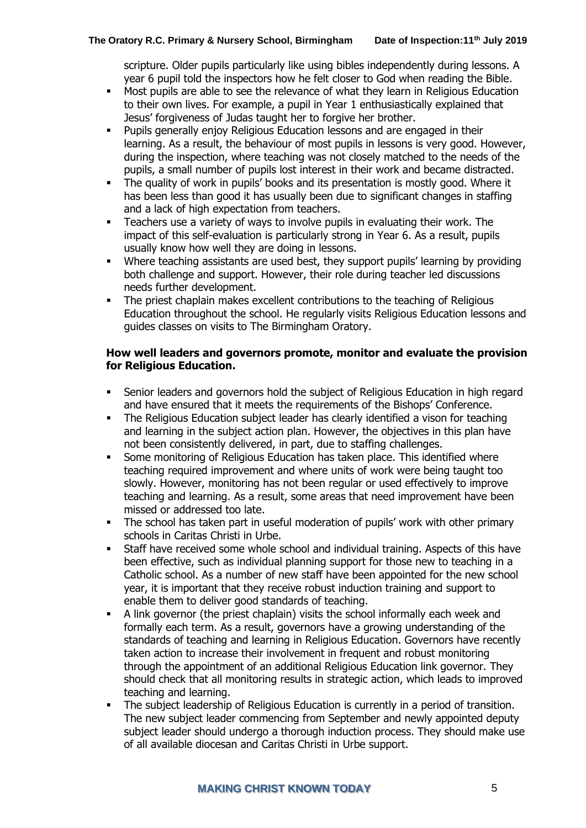scripture. Older pupils particularly like using bibles independently during lessons. A year 6 pupil told the inspectors how he felt closer to God when reading the Bible.

- Most pupils are able to see the relevance of what they learn in Religious Education to their own lives. For example, a pupil in Year 1 enthusiastically explained that Jesus' forgiveness of Judas taught her to forgive her brother.
- Pupils generally enjoy Religious Education lessons and are engaged in their learning. As a result, the behaviour of most pupils in lessons is very good. However, during the inspection, where teaching was not closely matched to the needs of the pupils, a small number of pupils lost interest in their work and became distracted.
- The quality of work in pupils' books and its presentation is mostly good. Where it has been less than good it has usually been due to significant changes in staffing and a lack of high expectation from teachers.
- Teachers use a variety of ways to involve pupils in evaluating their work. The impact of this self-evaluation is particularly strong in Year 6. As a result, pupils usually know how well they are doing in lessons.
- Where teaching assistants are used best, they support pupils' learning by providing both challenge and support. However, their role during teacher led discussions needs further development.
- The priest chaplain makes excellent contributions to the teaching of Religious Education throughout the school. He regularly visits Religious Education lessons and guides classes on visits to The Birmingham Oratory.

# **How well leaders and governors promote, monitor and evaluate the provision for Religious Education.**

- Senior leaders and governors hold the subject of Religious Education in high regard and have ensured that it meets the requirements of the Bishops' Conference.
- The Religious Education subject leader has clearly identified a vison for teaching and learning in the subject action plan. However, the objectives in this plan have not been consistently delivered, in part, due to staffing challenges.
- **•** Some monitoring of Religious Education has taken place. This identified where teaching required improvement and where units of work were being taught too slowly. However, monitoring has not been regular or used effectively to improve teaching and learning. As a result, some areas that need improvement have been missed or addressed too late.
- The school has taken part in useful moderation of pupils' work with other primary schools in Caritas Christi in Urbe.
- Staff have received some whole school and individual training. Aspects of this have been effective, such as individual planning support for those new to teaching in a Catholic school. As a number of new staff have been appointed for the new school year, it is important that they receive robust induction training and support to enable them to deliver good standards of teaching.
- A link governor (the priest chaplain) visits the school informally each week and formally each term. As a result, governors have a growing understanding of the standards of teaching and learning in Religious Education. Governors have recently taken action to increase their involvement in frequent and robust monitoring through the appointment of an additional Religious Education link governor. They should check that all monitoring results in strategic action, which leads to improved teaching and learning.
- The subject leadership of Religious Education is currently in a period of transition. The new subject leader commencing from September and newly appointed deputy subject leader should undergo a thorough induction process. They should make use of all available diocesan and Caritas Christi in Urbe support.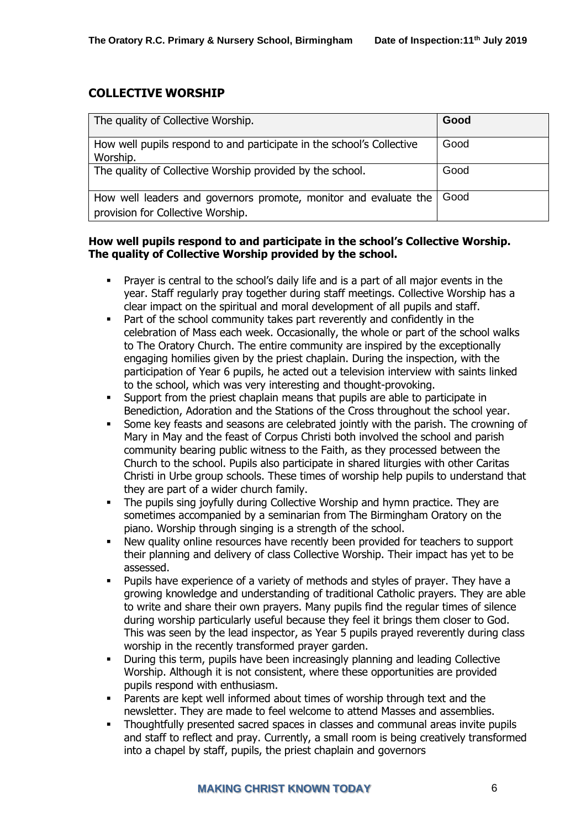# **COLLECTIVE WORSHIP**

| The quality of Collective Worship.                                                                    | Good   |
|-------------------------------------------------------------------------------------------------------|--------|
| How well pupils respond to and participate in the school's Collective<br>Worship.                     | Good   |
| The quality of Collective Worship provided by the school.                                             | Good   |
| How well leaders and governors promote, monitor and evaluate the<br>provision for Collective Worship. | l Good |

# **How well pupils respond to and participate in the school's Collective Worship. The quality of Collective Worship provided by the school.**

- Prayer is central to the school's daily life and is a part of all major events in the year. Staff regularly pray together during staff meetings. Collective Worship has a clear impact on the spiritual and moral development of all pupils and staff.
- Part of the school community takes part reverently and confidently in the celebration of Mass each week. Occasionally, the whole or part of the school walks to The Oratory Church. The entire community are inspired by the exceptionally engaging homilies given by the priest chaplain. During the inspection, with the participation of Year 6 pupils, he acted out a television interview with saints linked to the school, which was very interesting and thought-provoking.
- Support from the priest chaplain means that pupils are able to participate in Benediction, Adoration and the Stations of the Cross throughout the school year.
- **•** Some key feasts and seasons are celebrated jointly with the parish. The crowning of Mary in May and the feast of Corpus Christi both involved the school and parish community bearing public witness to the Faith, as they processed between the Church to the school. Pupils also participate in shared liturgies with other Caritas Christi in Urbe group schools. These times of worship help pupils to understand that they are part of a wider church family.
- The pupils sing joyfully during Collective Worship and hymn practice. They are sometimes accompanied by a seminarian from The Birmingham Oratory on the piano. Worship through singing is a strength of the school.
- New quality online resources have recently been provided for teachers to support their planning and delivery of class Collective Worship. Their impact has yet to be assessed.
- Pupils have experience of a variety of methods and styles of prayer. They have a growing knowledge and understanding of traditional Catholic prayers. They are able to write and share their own prayers. Many pupils find the regular times of silence during worship particularly useful because they feel it brings them closer to God. This was seen by the lead inspector, as Year 5 pupils prayed reverently during class worship in the recently transformed prayer garden.
- During this term, pupils have been increasingly planning and leading Collective Worship. Although it is not consistent, where these opportunities are provided pupils respond with enthusiasm.
- Parents are kept well informed about times of worship through text and the newsletter. They are made to feel welcome to attend Masses and assemblies.
- Thoughtfully presented sacred spaces in classes and communal areas invite pupils and staff to reflect and pray. Currently, a small room is being creatively transformed into a chapel by staff, pupils, the priest chaplain and governors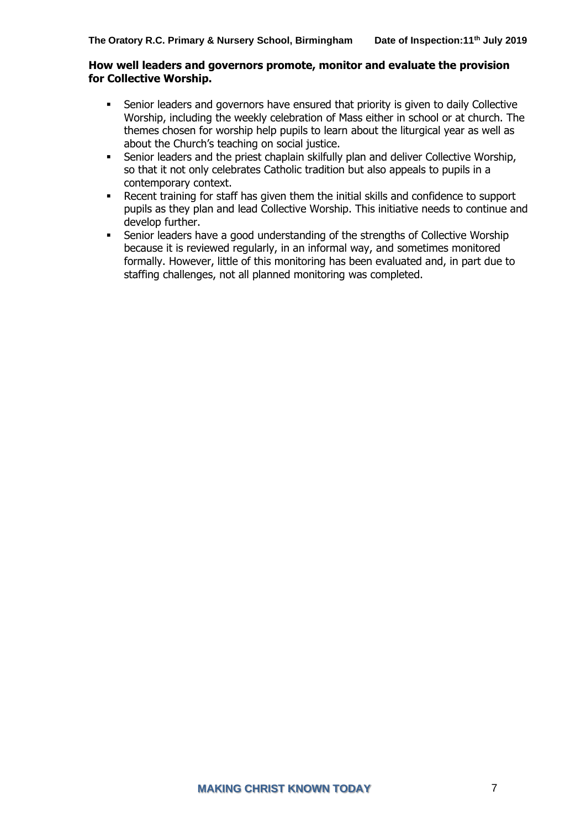#### **How well leaders and governors promote, monitor and evaluate the provision for Collective Worship.**

- **•** Senior leaders and governors have ensured that priority is given to daily Collective Worship, including the weekly celebration of Mass either in school or at church. The themes chosen for worship help pupils to learn about the liturgical year as well as about the Church's teaching on social justice.
- **EXECT** Senior leaders and the priest chaplain skilfully plan and deliver Collective Worship, so that it not only celebrates Catholic tradition but also appeals to pupils in a contemporary context.
- Recent training for staff has given them the initial skills and confidence to support pupils as they plan and lead Collective Worship. This initiative needs to continue and develop further.
- Senior leaders have a good understanding of the strengths of Collective Worship because it is reviewed regularly, in an informal way, and sometimes monitored formally. However, little of this monitoring has been evaluated and, in part due to staffing challenges, not all planned monitoring was completed.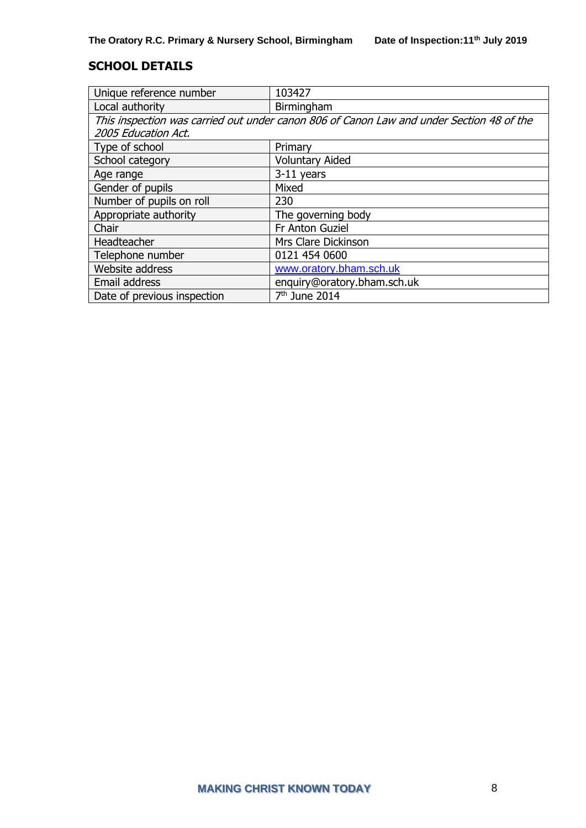# **SCHOOL DETAILS**

| Unique reference number                                                                  | 103427                      |  |
|------------------------------------------------------------------------------------------|-----------------------------|--|
| Local authority                                                                          | Birmingham                  |  |
| This inspection was carried out under canon 806 of Canon Law and under Section 48 of the |                             |  |
| 2005 Education Act.                                                                      |                             |  |
| Type of school                                                                           | Primary                     |  |
| School category                                                                          | <b>Voluntary Aided</b>      |  |
| Age range                                                                                | $3-11$ years                |  |
| Gender of pupils                                                                         | Mixed                       |  |
| Number of pupils on roll                                                                 | 230                         |  |
| Appropriate authority                                                                    | The governing body          |  |
| Chair                                                                                    | Fr Anton Guziel             |  |
| Headteacher                                                                              | Mrs Clare Dickinson         |  |
| Telephone number                                                                         | 0121 454 0600               |  |
| Website address                                                                          | www.oratory.bham.sch.uk     |  |
| Email address                                                                            | enquiry@oratory.bham.sch.uk |  |
| Date of previous inspection                                                              | $7th$ June 2014             |  |